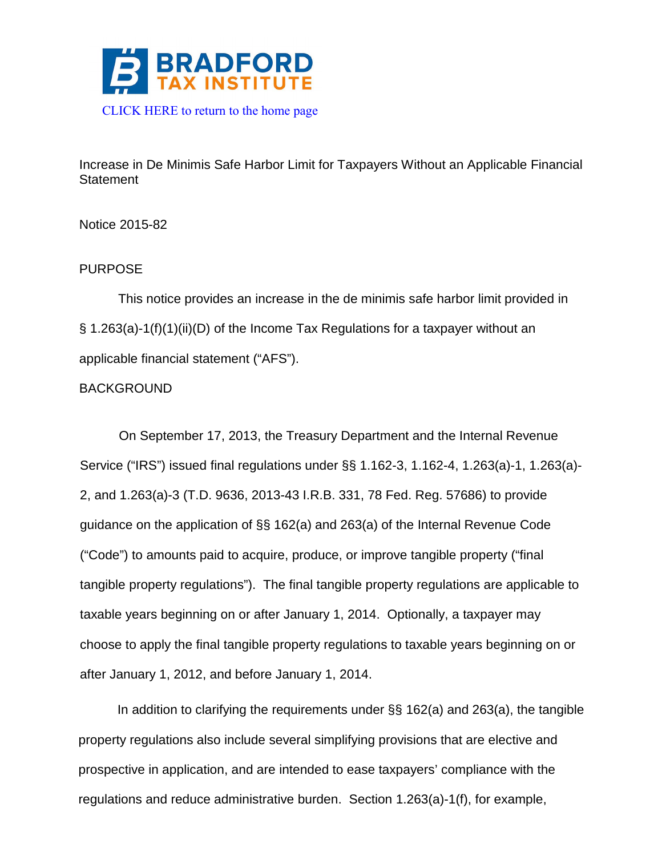

Increase in De Minimis Safe Harbor Limit for Taxpayers Without an Applicable Financial **Statement** 

Notice 2015-82

# PURPOSE

This notice provides an increase in the de minimis safe harbor limit provided in § 1.263(a)-1(f)(1)(ii)(D) of the Income Tax Regulations for a taxpayer without an applicable financial statement ("AFS").

# BACKGROUND

On September 17, 2013, the Treasury Department and the Internal Revenue Service ("IRS") issued final regulations under §§ 1.162-3, 1.162-4, 1.263(a)-1, 1.263(a)- 2, and 1.263(a)-3 (T.D. 9636, 2013-43 I.R.B. 331, 78 Fed. Reg. 57686) to provide guidance on the application of §§ 162(a) and 263(a) of the Internal Revenue Code ("Code") to amounts paid to acquire, produce, or improve tangible property ("final tangible property regulations"). The final tangible property regulations are applicable to taxable years beginning on or after January 1, 2014. Optionally, a taxpayer may choose to apply the final tangible property regulations to taxable years beginning on or after January 1, 2012, and before January 1, 2014.

In addition to clarifying the requirements under §§ 162(a) and 263(a), the tangible property regulations also include several simplifying provisions that are elective and prospective in application, and are intended to ease taxpayers' compliance with the regulations and reduce administrative burden. Section 1.263(a)-1(f), for example,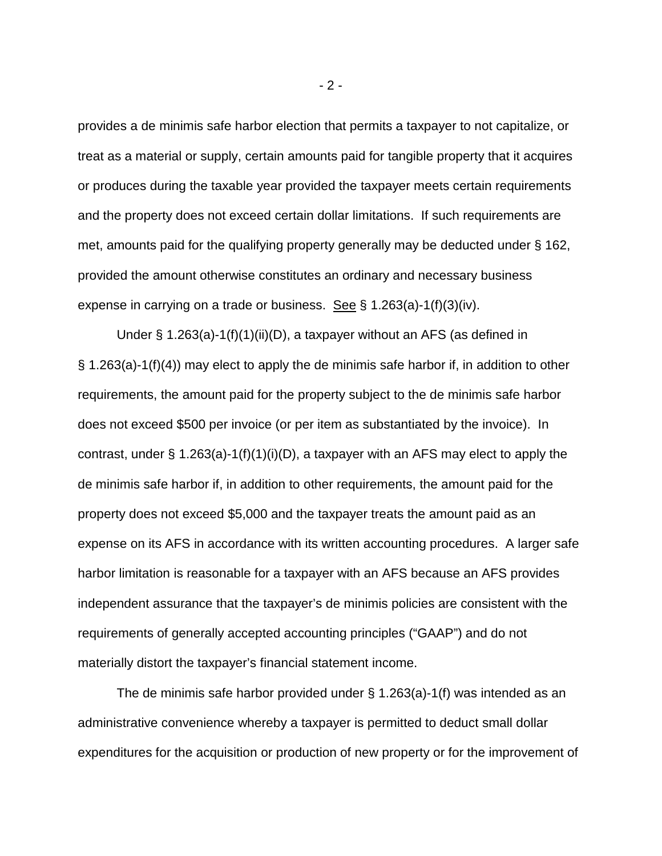provides a de minimis safe harbor election that permits a taxpayer to not capitalize, or treat as a material or supply, certain amounts paid for tangible property that it acquires or produces during the taxable year provided the taxpayer meets certain requirements and the property does not exceed certain dollar limitations. If such requirements are met, amounts paid for the qualifying property generally may be deducted under § 162, provided the amount otherwise constitutes an ordinary and necessary business expense in carrying on a trade or business. See § 1.263(a)-1(f)(3)(iv).

Under § 1.263(a)-1(f)(1)(ii)(D), a taxpayer without an AFS (as defined in § 1.263(a)-1(f)(4)) may elect to apply the de minimis safe harbor if, in addition to other requirements, the amount paid for the property subject to the de minimis safe harbor does not exceed \$500 per invoice (or per item as substantiated by the invoice). In contrast, under § 1.263(a)-1(f)(1)(i)(D), a taxpayer with an AFS may elect to apply the de minimis safe harbor if, in addition to other requirements, the amount paid for the property does not exceed \$5,000 and the taxpayer treats the amount paid as an expense on its AFS in accordance with its written accounting procedures. A larger safe harbor limitation is reasonable for a taxpayer with an AFS because an AFS provides independent assurance that the taxpayer's de minimis policies are consistent with the requirements of generally accepted accounting principles ("GAAP") and do not materially distort the taxpayer's financial statement income.

The de minimis safe harbor provided under § 1.263(a)-1(f) was intended as an administrative convenience whereby a taxpayer is permitted to deduct small dollar expenditures for the acquisition or production of new property or for the improvement of

 $-2 -$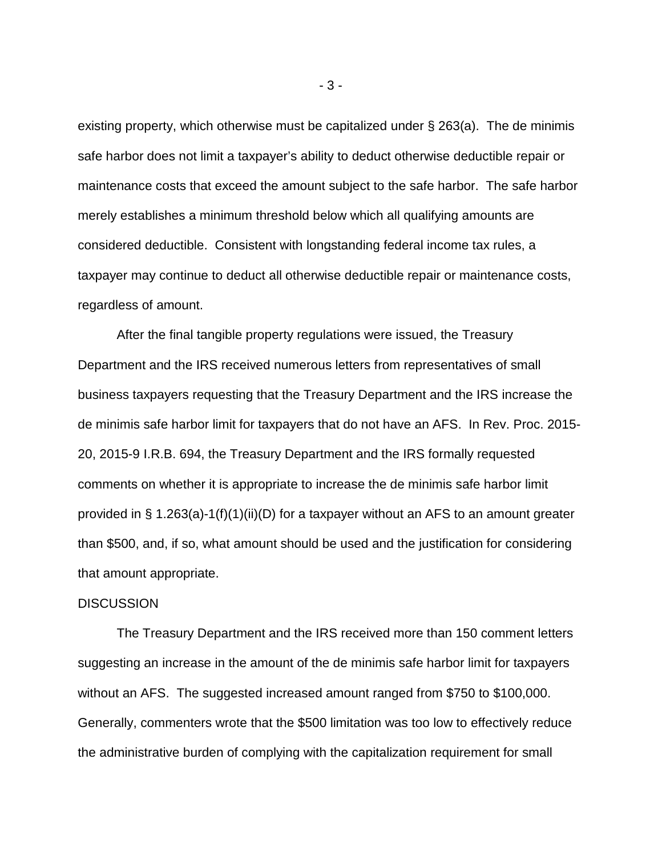existing property, which otherwise must be capitalized under § 263(a). The de minimis safe harbor does not limit a taxpayer's ability to deduct otherwise deductible repair or maintenance costs that exceed the amount subject to the safe harbor. The safe harbor merely establishes a minimum threshold below which all qualifying amounts are considered deductible. Consistent with longstanding federal income tax rules, a taxpayer may continue to deduct all otherwise deductible repair or maintenance costs, regardless of amount.

After the final tangible property regulations were issued, the Treasury Department and the IRS received numerous letters from representatives of small business taxpayers requesting that the Treasury Department and the IRS increase the de minimis safe harbor limit for taxpayers that do not have an AFS. In Rev. Proc. 2015- 20, 2015-9 I.R.B. 694, the Treasury Department and the IRS formally requested comments on whether it is appropriate to increase the de minimis safe harbor limit provided in § 1.263(a)-1(f)(1)(ii)(D) for a taxpayer without an AFS to an amount greater than \$500, and, if so, what amount should be used and the justification for considering that amount appropriate.

### **DISCUSSION**

The Treasury Department and the IRS received more than 150 comment letters suggesting an increase in the amount of the de minimis safe harbor limit for taxpayers without an AFS. The suggested increased amount ranged from \$750 to \$100,000. Generally, commenters wrote that the \$500 limitation was too low to effectively reduce the administrative burden of complying with the capitalization requirement for small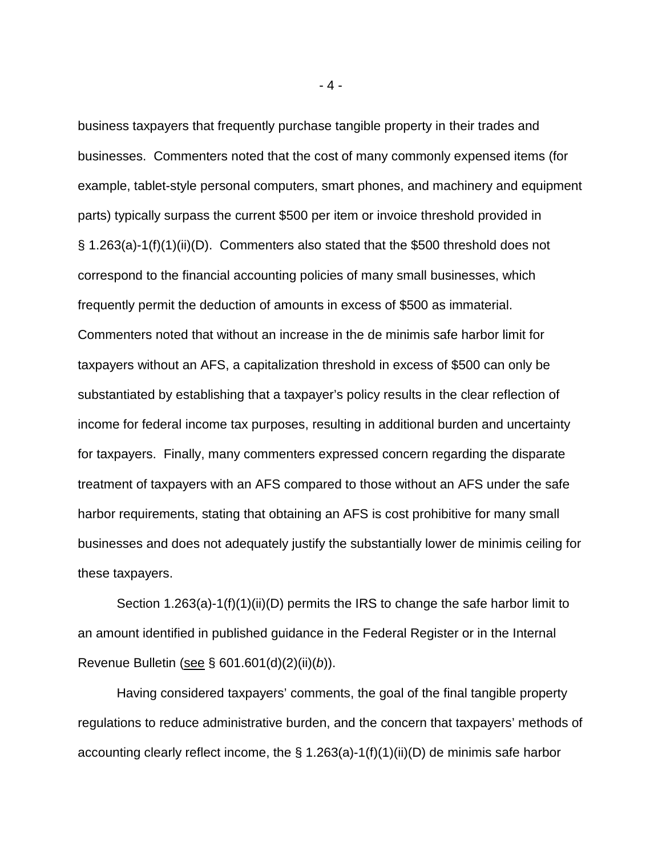business taxpayers that frequently purchase tangible property in their trades and businesses. Commenters noted that the cost of many commonly expensed items (for example, tablet-style personal computers, smart phones, and machinery and equipment parts) typically surpass the current \$500 per item or invoice threshold provided in § 1.263(a)-1(f)(1)(ii)(D). Commenters also stated that the \$500 threshold does not correspond to the financial accounting policies of many small businesses, which frequently permit the deduction of amounts in excess of \$500 as immaterial. Commenters noted that without an increase in the de minimis safe harbor limit for taxpayers without an AFS, a capitalization threshold in excess of \$500 can only be substantiated by establishing that a taxpayer's policy results in the clear reflection of income for federal income tax purposes, resulting in additional burden and uncertainty for taxpayers. Finally, many commenters expressed concern regarding the disparate treatment of taxpayers with an AFS compared to those without an AFS under the safe harbor requirements, stating that obtaining an AFS is cost prohibitive for many small businesses and does not adequately justify the substantially lower de minimis ceiling for these taxpayers.

Section 1.263(a)-1(f)(1)(ii)(D) permits the IRS to change the safe harbor limit to an amount identified in published guidance in the Federal Register or in the Internal Revenue Bulletin (see § 601.601(d)(2)(ii)(*b*)).

Having considered taxpayers' comments, the goal of the final tangible property regulations to reduce administrative burden, and the concern that taxpayers' methods of accounting clearly reflect income, the § 1.263(a)-1(f)(1)(ii)(D) de minimis safe harbor

- 4 -